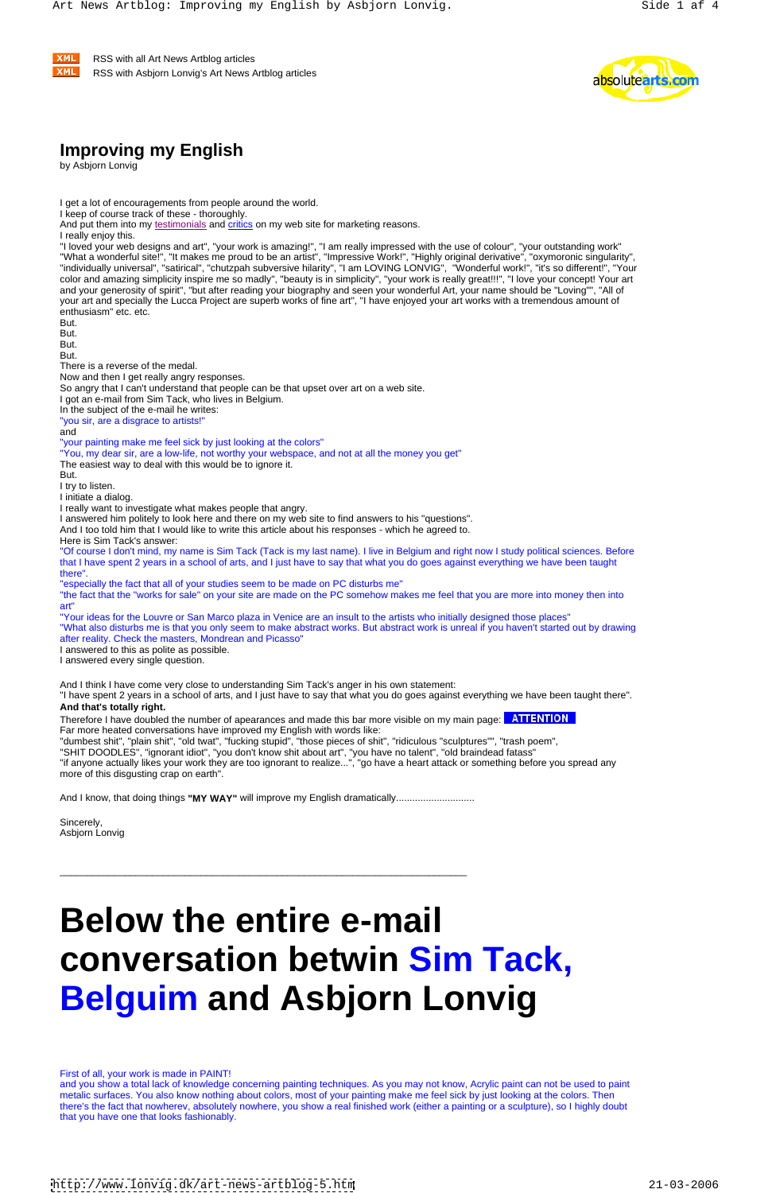**XML**  RSS with all Art News Artblog articles **XML** RSS with Asbjorn Lonvig's Art News Artblog articles **Example 2018** 2019 12:30 Nutries and the set of the set of the set of the set of the set of the set of the set of the set of the set of the set of the set of the set of



## **Improving my English**

by Asbjorn Lonvig

I get a lot of encouragements from people around the world.

"I loved your web designs and art", "your work is amazing!", "I am really impressed with the use of colour", "your outstanding work" "What a wonderful site!", "It makes me proud to be an artist", "Impressive Work!", "Highly original derivative", "oxymoronic singularity", "individually universal", "satirical", "chutzpah subversive hilarity", "I am LOVING LONVIG", "Wonderful work!", "it's so different!", "Your color and amazing simplicity inspire me so madly", "beauty is in simplicity", "your work is really great!!!", "I love your concept! Your art and your generosity of spirit", "but after reading your biography and seen your wonderful Art, your name should be "Loving"", "All of your art and specially the Lucca Project are superb works of fine art", "I have enjoyed your art works with a tremendous amount of enthusiasm" etc. etc.<br>But.

**But.** The contract of the contract of the contract of the contract of the contract of the contract of the contract of the contract of the contract of the contract of the contract of the contract of the contract of the con

en de la contradición de la contradición de la contradición de la contradición de la contradición de la contradición de la contradición de la contradición de la contradición de la contradición de la contradición de la cont

estimates the contract of the contract of the contract of the contract of the contract of the contract of the contract of the contract of the contract of the contract of the contract of the contract of the contract of the

I keep of course track of these - thoroughly.

And put them into my testimonials and critics on my web site for marketing reasons.

I really enjoy this.

and the contract of the contract of the contract of the contract of the contract of the contract of the contract of the contract of the contract of the contract of the contract of the contract of the contract of the contra "your painting make me feel sick by just looking at the colors"

There is a reverse of the medal.

Now and then I get really angry responses.

So angry that I can't understand that people can be that upset over art on a web site.

I got an e-mail from Sim Tack, who lives in Belgium.

In the subject of the e-mail he writes:

"you sir, are a disgrace to artists!"

"You, my dear sir, are a low-life, not worthy your webspace, and not at all the money you get"

The easiest way to deal with this would be to ignore it.

estimates the contract of the contract of the contract of the contract of the contract of the contract of the contract of the contract of the contract of the contract of the contract of the contract of the contract of the

I try to listen.

I initiate a dialog.

I really want to investigate what makes people that angry.

I answered him politely to look here and there on my web site to find answers to his "questions".

Sincerely, the contract of the contract of the contract of the contract of the contract of the contract of the contract of the contract of the contract of the contract of the contract of the contract of the contract of the Asbjorn Lonvig

And I too told him that I would like to write this article about his responses - which he agreed to.

Here is Sim Tack's answer:

"Of course I don't mind, my name is Sim Tack (Tack is my last name). I live in Belgium and right now I study political sciences. Before that I have spent 2 years in a school of arts, and I just have to say that what you do goes against everything we have been taught there".

"especially the fact that all of your studies seem to be made on PC disturbs me"

"the fact that the "works for sale" on your site are made on the PC somehow makes me feel that you are more into money then into art"

"Your ideas for the Louvre or San Marco plaza in Venice are an insult to the artists who initially designed those places" "What also disturbs me is that you only seem to make abstract works. But abstract work is unreal if you haven't started out by drawing after reality. Check the masters, Mondrean and Picasso"

I answered to this as polite as possible.

I answered every single question.

And I think I have come very close to understanding Sim Tack's anger in his own statement:

"I have spent 2 years in a school of arts, and I just have to say that what you do goes against everything we have been taught there". **And that's totally right.**

Therefore I have doubled the number of apearances and made this bar more visible on my main page: **ATTENTION**<br>Far more heated conversations have improved my English with words like:

"dumbest shit", "plain shit", "old twat", "fucking stupid", "those pieces of shit", "ridiculous "sculptures"", "trash poem",

"SHIT DOODLES", "ignorant idiot", "you don't know shit about art", "you have no talent", "old braindead fatass"

"if anyone actually likes your work they are too ignorant to realize...", "go have a heart attack or something before you spread any more of this disgusting crap on earth".

And I know, that doing things **"MY WAY"** will improve my English dramatically.............................

\_\_\_\_\_\_\_\_\_\_\_\_\_\_\_\_\_\_\_\_\_\_\_\_\_\_\_\_\_\_\_\_\_\_\_\_\_\_\_\_\_\_\_\_\_\_\_\_\_\_\_\_\_\_\_\_\_\_\_\_\_\_\_\_\_\_\_\_\_\_\_\_\_\_\_

# **Below the entire e-mail conversation betwin Sim Tack, Belguim and Asbjorn Lonvig**

First of all, your work is made in PAINT!

and you show a total lack of knowledge concerning painting techniques. As you may not know, Acrylic paint can not be used to paint metalic surfaces. You also know nothing about colors, most of your painting make me feel sick by just looking at the colors. Then there's the fact that nowherev, absolutely nowhere, you show a real finished work (either a painting or a sculpture), so I highly doubt that you have one that looks fashionably.

<http://www.lonvig.dk/art-news-artblog-5.htm> 21-03-2006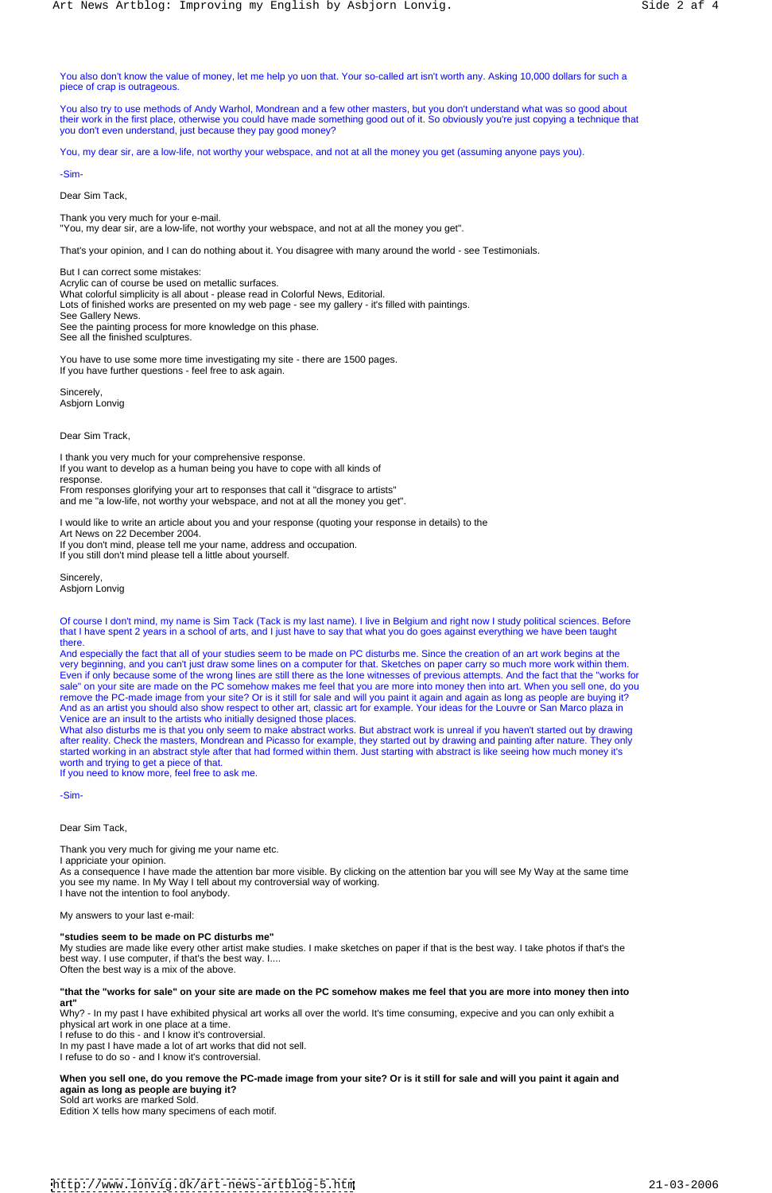You also don't know the value of money, let me help yo uon that. Your so-called art isn't worth any. Asking 10,000 dollars for such a piece of crap is outrageous.

You also try to use methods of Andy Warhol, Mondrean and a few other masters, but you don't understand what was so good about their work in the first place, otherwise you could have made something good out of it. So obviously you're just copying a technique that you don't even understand, just because they pay good money?

You, my dear sir, are a low-life, not worthy your webspace, and not at all the money you get (assuming anyone pays you).

-Sim-

Dear Sim Tack,

Thank you very much for your e-mail. "You, my dear sir, are a low-life, not worthy your webspace, and not at all the money you get".

Sincerely, the contract of the contract of the contract of the contract of the contract of the contract of the contract of the contract of the contract of the contract of the contract of the contract of the contract of the Asbjorn Lonvig

That's your opinion, and I can do nothing about it. You disagree with many around the world - see Testimonials.

Sincerely, the contract of the contract of the contract of the contract of the contract of the contract of the contract of the contract of the contract of the contract of the contract of the contract of the contract of the Asbjorn Lonvig

Of course I don't mind, my name is Sim Tack (Tack is my last name). I live in Belgium and right now I study political sciences. Before that I have spent 2 years in a school of arts, and I just have to say that what you do goes against everything we have been taught there. The contract of the contract of the contract of the contract of the contract of the contract of the contract of the contract of the contract of the contract of the contract of the contract of the contract of the con

But I can correct some mistakes: Acrylic can of course be used on metallic surfaces. What colorful simplicity is all about - please read in Colorful News, Editorial. Lots of finished works are presented on my web page - see my gallery - it's filled with paintings. See Gallery News. See the painting process for more knowledge on this phase. See all the finished sculptures.

You have to use some more time investigating my site - there are 1500 pages. If you have further questions - feel free to ask again.

Dear Sim Track,

I thank you very much for your comprehensive response. If you want to develop as a human being you have to cope with all kinds of response. response. In the contract of the contract of the contract of the contract of the contract of the contract of the contract of the contract of the contract of the contract of the contract of the contract of the contract of t From responses glorifying your art to responses that call it "disgrace to artists"

and me "a low-life, not worthy your webspace, and not at all the money you get".

I would like to write an article about you and your response (quoting your response in details) to the Art News on 22 December 2004. If you don't mind, please tell me your name, address and occupation. If you still don't mind please tell a little about yourself.

And especially the fact that all of your studies seem to be made on PC disturbs me. Since the creation of an art work begins at the very beginning, and you can't just draw some lines on a computer for that. Sketches on paper carry so much more work within them. Even if only because some of the wrong lines are still there as the lone witnesses of previous attempts. And the fact that the "works for sale" on your site are made on the PC somehow makes me feel that you are more into money then into art. When you sell one, do you remove the PC-made image from your site? Or is it still for sale and will you paint it again and again as long as people are buying it? And as an artist you should also show respect to other art, classic art for example. Your ideas for the Louvre or San Marco plaza in Venice are an insult to the artists who initially designed those places.

What also disturbs me is that you only seem to make abstract works. But abstract work is unreal if you haven't started out by drawing after reality. Check the masters, Mondrean and Picasso for example, they started out by drawing and painting after nature. They only started working in an abstract style after that had formed within them. Just starting with abstract is like seeing how much money it's worth and trying to get a piece of that.

If you need to know more, feel free to ask me.

-Sim-

Dear Sim Tack,

Thank you very much for giving me your name etc.

I appriciate your opinion. As a consequence I have made the attention bar more visible. By clicking on the attention bar you will see My Way at the same time

you see my name. In My Way I tell about my controversial way of working. I have not the intention to fool anybody.

My answers to your last e-mail:

#### **"studies seem to be made on PC disturbs me"**

My studies are made like every other artist make studies. I make sketches on paper if that is the best way. I take photos if that's the best way. I use computer, if that's the best way. I.... Often the best way is a mix of the above.

#### **"that the "works for sale" on your site are made on the PC somehow makes me feel that you are more into money then into art"**

Why? - In my past I have exhibited physical art works all over the world. It's time consuming, expecive and you can only exhibit a physical art work in one place at a time.

I refuse to do this - and I know it's controversial.

In my past I have made a lot of art works that did not sell.

I refuse to do so - and I know it's controversial.

**When you sell one, do you remove the PC-made image from your site? Or is it still for sale and will you paint it again and again as long as people are buying it?**

Sold art works are marked Sold.

Edition X tells how many specimens of each motif.

<http://www.lonvig.dk/art-news-artblog-5.htm> 21-03-2006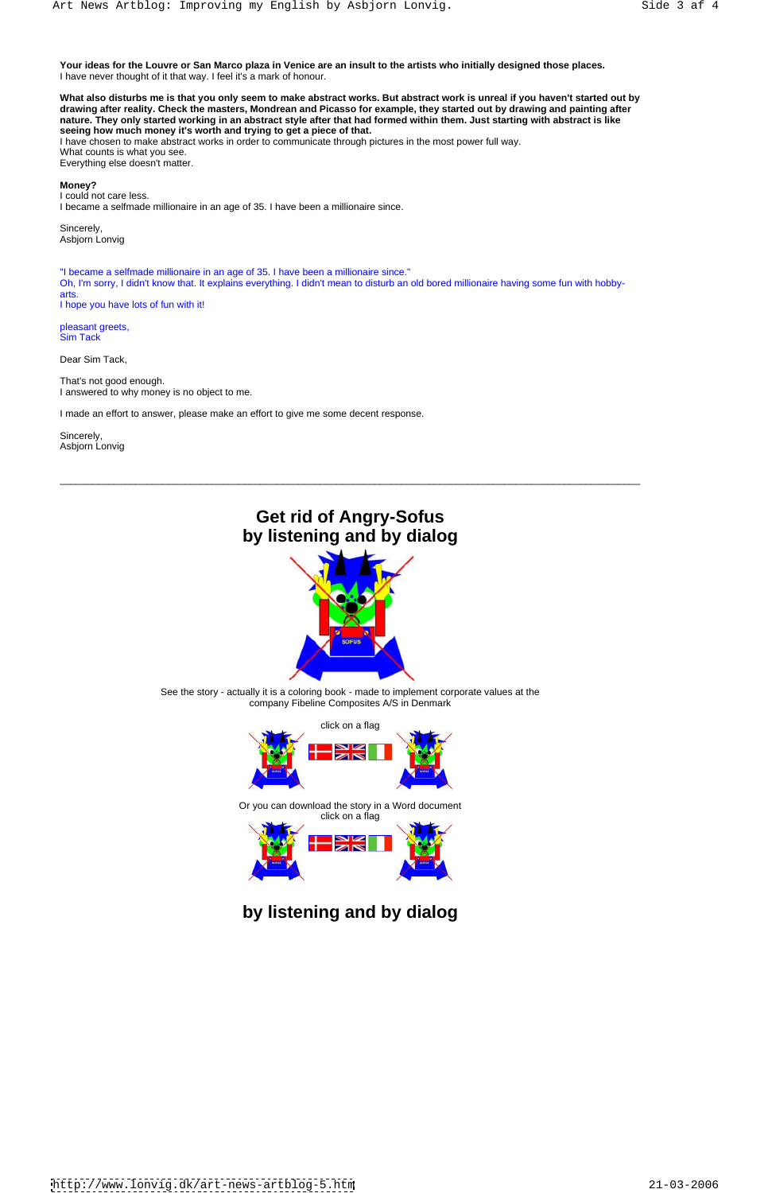**Your ideas for the Louvre or San Marco plaza in Venice are an insult to the artists who initially designed those places.** I have never thought of it that way. I feel it's a mark of honour.

**What also disturbs me is that you only seem to make abstract works. But abstract work is unreal if you haven't started out by drawing after reality. Check the masters, Mondrean and Picasso for example, they started out by drawing and painting after nature. They only started working in an abstract style after that had formed within them. Just starting with abstract is like seeing how much money it's worth and trying to get a piece of that.**

Sincerely, the contract of the contract of the contract of the contract of the contract of the contract of the contract of the contract of the contract of the contract of the contract of the contract of the contract of the Asbjorn Lonvig

pleasant greets,<br>Sim Tack Sim Tack

Sincerely, the contract of the contract of the contract of the contract of the contract of the contract of the contract of the contract of the contract of the contract of the contract of the contract of the contract of the Asbjorn Lonvig

I have chosen to make abstract works in order to communicate through pictures in the most power full way. What counts is what you see. Everything else doesn't matter.

#### **Money?**

I could not care less. I became a selfmade millionaire in an age of 35. I have been a millionaire since.

"I became a selfmade millionaire in an age of 35. I have been a millionaire since." Oh, I'm sorry, I didn't know that. It explains everything. I didn't mean to disturb an old bored millionaire having some fun with hobby arts. The contract of the contract of the contract of the contract of the contract of the contract of the contract of the contract of the contract of the contract of the contract of the contract of the contract of the cont I hope you have lots of fun with it!

Dear Sim Tack,

That's not good enough. I answered to why money is no object to me.

I made an effort to answer, please make an effort to give me some decent response.

\_\_\_\_\_\_\_\_\_\_\_\_\_\_\_\_\_\_\_\_\_\_\_\_\_\_\_\_\_\_\_\_\_\_\_\_\_\_\_\_\_\_\_\_\_\_\_\_\_\_\_\_\_\_\_\_\_\_\_\_\_\_\_\_\_\_\_\_\_\_\_\_\_\_\_\_\_\_\_\_\_\_\_\_\_\_\_\_\_\_\_\_\_\_\_\_\_\_\_\_\_\_\_\_\_\_\_

### **Get rid of Angry-Sofus by listening and by dialog**



See the story - actually it is a coloring book - made to implement corporate values at the company Fibeline Composites A/S in Denmark



Or you can download the story in a Word document



**by listening and by dialog**

<http://www.lonvig.dk/art-news-artblog-5.htm> 21-03-2006